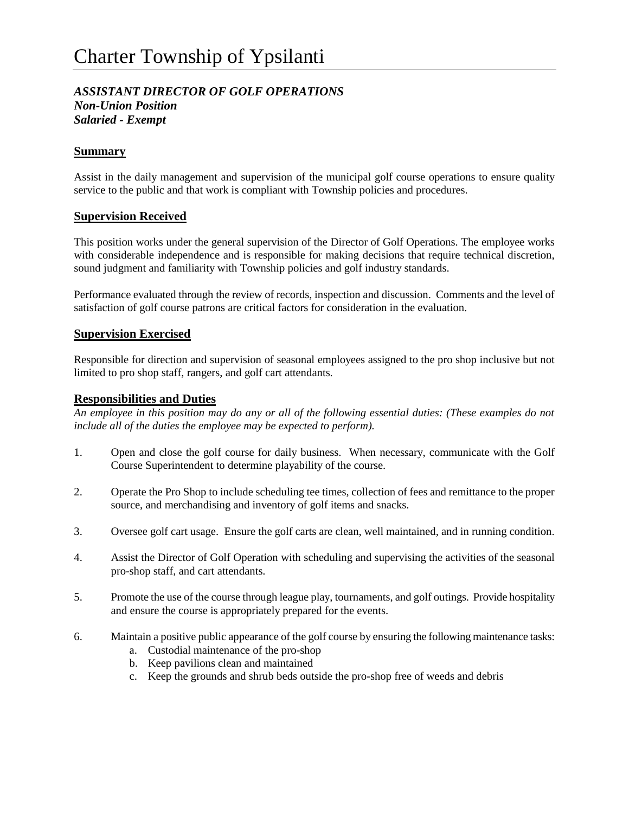# *ASSISTANT DIRECTOR OF GOLF OPERATIONS Non-Union Position Salaried - Exempt*

# **Summary**

Assist in the daily management and supervision of the municipal golf course operations to ensure quality service to the public and that work is compliant with Township policies and procedures.

## **Supervision Received**

This position works under the general supervision of the Director of Golf Operations. The employee works with considerable independence and is responsible for making decisions that require technical discretion, sound judgment and familiarity with Township policies and golf industry standards.

Performance evaluated through the review of records, inspection and discussion. Comments and the level of satisfaction of golf course patrons are critical factors for consideration in the evaluation.

#### **Supervision Exercised**

Responsible for direction and supervision of seasonal employees assigned to the pro shop inclusive but not limited to pro shop staff, rangers, and golf cart attendants.

#### **Responsibilities and Duties**

*An employee in this position may do any or all of the following essential duties: (These examples do not include all of the duties the employee may be expected to perform).*

- 1. Open and close the golf course for daily business. When necessary, communicate with the Golf Course Superintendent to determine playability of the course.
- 2. Operate the Pro Shop to include scheduling tee times, collection of fees and remittance to the proper source, and merchandising and inventory of golf items and snacks.
- 3. Oversee golf cart usage. Ensure the golf carts are clean, well maintained, and in running condition.
- 4. Assist the Director of Golf Operation with scheduling and supervising the activities of the seasonal pro-shop staff, and cart attendants.
- 5. Promote the use of the course through league play, tournaments, and golf outings. Provide hospitality and ensure the course is appropriately prepared for the events.
- 6. Maintain a positive public appearance of the golf course by ensuring the following maintenance tasks:
	- a. Custodial maintenance of the pro-shop
	- b. Keep pavilions clean and maintained
	- c. Keep the grounds and shrub beds outside the pro-shop free of weeds and debris